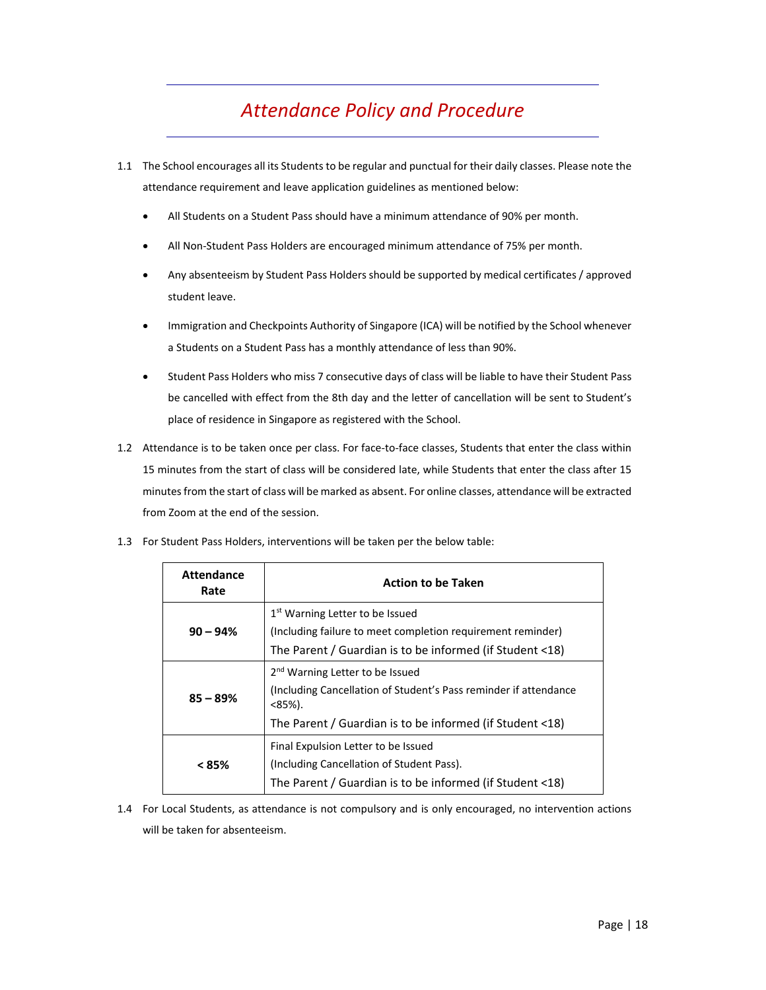## *Attendance Policy and Procedure*

- 1.1 The School encourages all its Studentsto be regular and punctual for their daily classes. Please note the attendance requirement and leave application guidelines as mentioned below:
	- All Students on a Student Pass should have a minimum attendance of 90% per month.
	- All Non‐Student Pass Holders are encouraged minimum attendance of 75% per month.
	- Any absenteeism by Student Pass Holders should be supported by medical certificates / approved student leave.
	- Immigration and Checkpoints Authority of Singapore (ICA) will be notified by the School whenever a Students on a Student Pass has a monthly attendance of less than 90%.
	- Student Pass Holders who miss 7 consecutive days of class will be liable to have their Student Pass be cancelled with effect from the 8th day and the letter of cancellation will be sent to Student's place of residence in Singapore as registered with the School.
- 1.2 Attendance is to be taken once per class. For face‐to‐face classes, Students that enter the class within 15 minutes from the start of class will be considered late, while Students that enter the class after 15 minutesfrom the start of class will be marked as absent. For online classes, attendance will be extracted from Zoom at the end of the session.

| <b>Attendance</b><br>Rate | <b>Action to be Taken</b>                                                                                                                                                                |
|---------------------------|------------------------------------------------------------------------------------------------------------------------------------------------------------------------------------------|
| $90 - 94%$                | 1 <sup>st</sup> Warning Letter to be Issued<br>(Including failure to meet completion requirement reminder)<br>The Parent / Guardian is to be informed (if Student <18)                   |
| $85 - 89%$                | 2 <sup>nd</sup> Warning Letter to be Issued<br>Including Cancellation of Student's Pass reminder if attendance<br>$<85\%$ ).<br>The Parent / Guardian is to be informed (if Student <18) |
| < 85%                     | Final Expulsion Letter to be Issued<br>(Including Cancellation of Student Pass).<br>The Parent / Guardian is to be informed (if Student <18)                                             |

1.3 For Student Pass Holders, interventions will be taken per the below table:

1.4 For Local Students, as attendance is not compulsory and is only encouraged, no intervention actions will be taken for absenteeism.